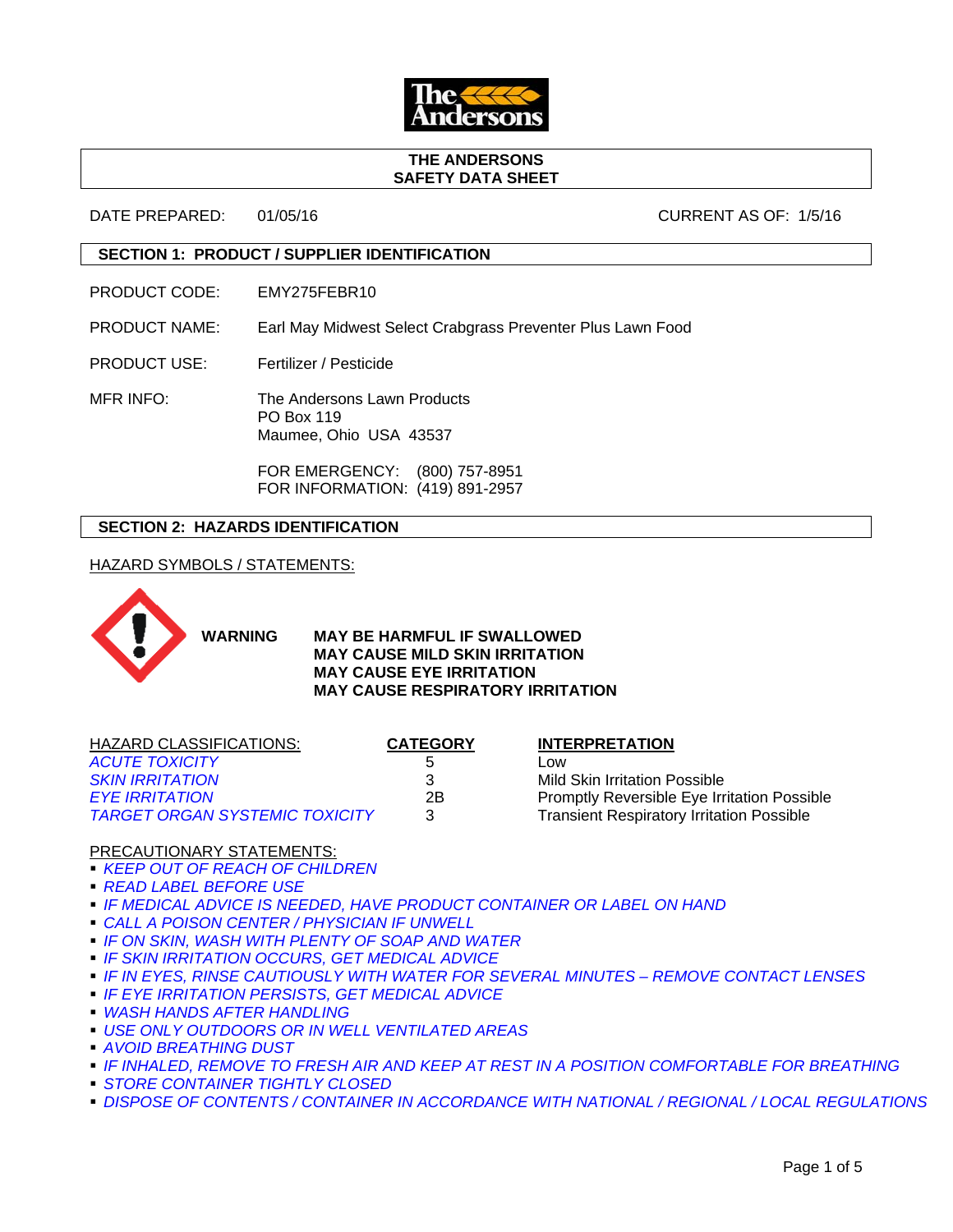

#### **THE ANDERSONS SAFETY DATA SHEET**

DATE PREPARED: 01/05/16 CURRENT AS OF: 1/5/16

## **SECTION 1: PRODUCT / SUPPLIER IDENTIFICATION**

PRODUCT CODE: EMY275FEBR10

PRODUCT NAME: Earl May Midwest Select Crabgrass Preventer Plus Lawn Food

PRODUCT USE: Fertilizer / Pesticide

MFR INFO: The Andersons Lawn Products PO Box 119 Maumee, Ohio USA 43537

> FOR EMERGENCY: (800) 757-8951 FOR INFORMATION: (419) 891-2957

# **SECTION 2: HAZARDS IDENTIFICATION**

HAZARD SYMBOLS / STATEMENTS:



**WARNING MAY BE HARMFUL IF SWALLOWED MAY CAUSE MILD SKIN IRRITATION MAY CAUSE EYE IRRITATION MAY CAUSE RESPIRATORY IRRITATION**

| HAZARD CLASSIFICATIONS:               | <b>CATEGORY</b> | <b>INTERPRETATION</b>                              |
|---------------------------------------|-----------------|----------------------------------------------------|
| <b>ACUTE TOXICITY</b>                 |                 | LOW                                                |
| <b>SKIN IRRITATION</b>                | 3               | Mild Skin Irritation Possible                      |
| <b>EYE IRRITATION</b>                 | 2B              | <b>Promptly Reversible Eye Irritation Possible</b> |
| <b>TARGET ORGAN SYSTEMIC TOXICITY</b> | 3               | <b>Transient Respiratory Irritation Possible</b>   |
|                                       |                 |                                                    |

## PRECAUTIONARY STATEMENTS:

- *KEEP OUT OF REACH OF CHILDREN*
- *READ LABEL BEFORE USE*
- *IF MEDICAL ADVICE IS NEEDED, HAVE PRODUCT CONTAINER OR LABEL ON HAND*
- *CALL A POISON CENTER / PHYSICIAN IF UNWELL*
- *IF ON SKIN, WASH WITH PLENTY OF SOAP AND WATER*
- *IF SKIN IRRITATION OCCURS, GET MEDICAL ADVICE*
- *IF IN EYES, RINSE CAUTIOUSLY WITH WATER FOR SEVERAL MINUTES REMOVE CONTACT LENSES*
- *IF EYE IRRITATION PERSISTS, GET MEDICAL ADVICE*
- *WASH HANDS AFTER HANDLING*
- *USE ONLY OUTDOORS OR IN WELL VENTILATED AREAS*
- *AVOID BREATHING DUST*
- *IF INHALED, REMOVE TO FRESH AIR AND KEEP AT REST IN A POSITION COMFORTABLE FOR BREATHING*
- *STORE CONTAINER TIGHTLY CLOSED*
- **DISPOSE OF CONTENTS / CONTAINER IN ACCORDANCE WITH NATIONAL / REGIONAL / LOCAL REGULATIONS**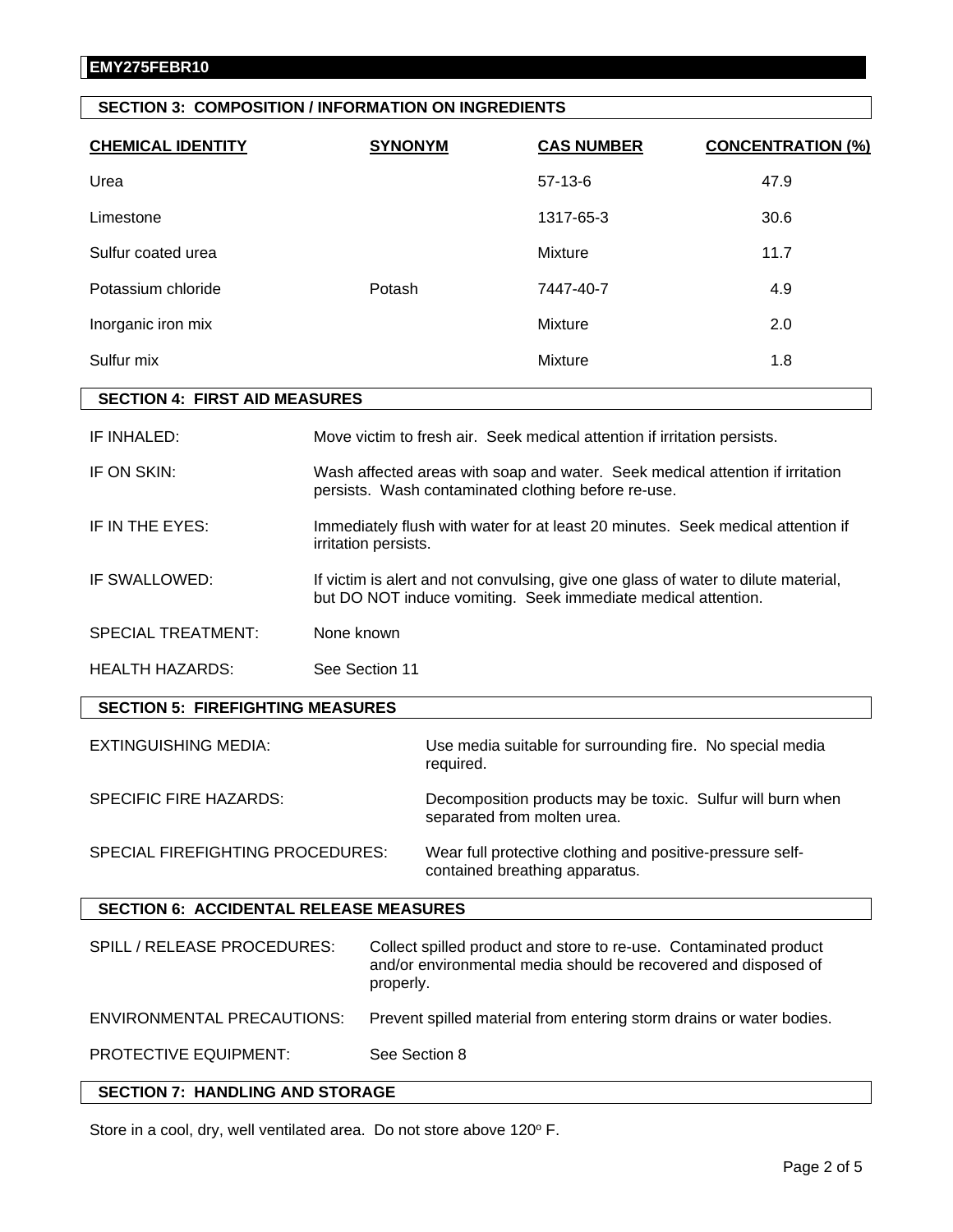# **SECTION 3: COMPOSITION / INFORMATION ON INGREDIENTS**

| <b>CHEMICAL IDENTITY</b>           | <b>SYNONYM</b> | <b>CAS NUMBER</b> | <b>CONCENTRATION (%)</b> |
|------------------------------------|----------------|-------------------|--------------------------|
| Urea                               |                | $57-13-6$         | 47.9                     |
| Limestone                          |                | 1317-65-3         | 30.6                     |
| Sulfur coated urea                 |                | Mixture           | 11.7                     |
| Potassium chloride                 | Potash         | 7447-40-7         | 4.9                      |
| Inorganic iron mix                 |                | Mixture           | 2.0                      |
| Sulfur mix                         |                | Mixture           | 1.8                      |
| <b>APATIALL 4</b><br>F(0.07101017) |                |                   |                          |

#### **SECTION 4: FIRST AID MEASURES**

| IF INHALED:<br>Move victim to fresh air. Seek medical attention if irritation persists. |  |
|-----------------------------------------------------------------------------------------|--|
|-----------------------------------------------------------------------------------------|--|

- IF ON SKIN: Wash affected areas with soap and water. Seek medical attention if irritation persists. Wash contaminated clothing before re-use.
- IF IN THE EYES: Immediately flush with water for at least 20 minutes. Seek medical attention if irritation persists.
- IF SWALLOWED: If victim is alert and not convulsing, give one glass of water to dilute material, but DO NOT induce vomiting. Seek immediate medical attention.
- SPECIAL TREATMENT: None known
- HEALTH HAZARDS: See Section 11

## **SECTION 5: FIREFIGHTING MEASURES**

| <b>EXTINGUISHING MEDIA:</b>      | Use media suitable for surrounding fire. No special media<br>required.                      |
|----------------------------------|---------------------------------------------------------------------------------------------|
| SPECIFIC FIRE HAZARDS:           | Decomposition products may be toxic. Sulfur will burn when<br>separated from molten urea.   |
| SPECIAL FIREFIGHTING PROCEDURES: | Wear full protective clothing and positive-pressure self-<br>contained breathing apparatus. |

## **SECTION 6: ACCIDENTAL RELEASE MEASURES**

| SPILL / RELEASE PROCEDURES:       | Collect spilled product and store to re-use. Contaminated product<br>and/or environmental media should be recovered and disposed of<br>properly. |
|-----------------------------------|--------------------------------------------------------------------------------------------------------------------------------------------------|
| <b>ENVIRONMENTAL PRECAUTIONS:</b> | Prevent spilled material from entering storm drains or water bodies.                                                                             |
| <b>PROTECTIVE EQUIPMENT:</b>      | See Section 8                                                                                                                                    |

# **SECTION 7: HANDLING AND STORAGE**

Store in a cool, dry, well ventilated area. Do not store above 120° F.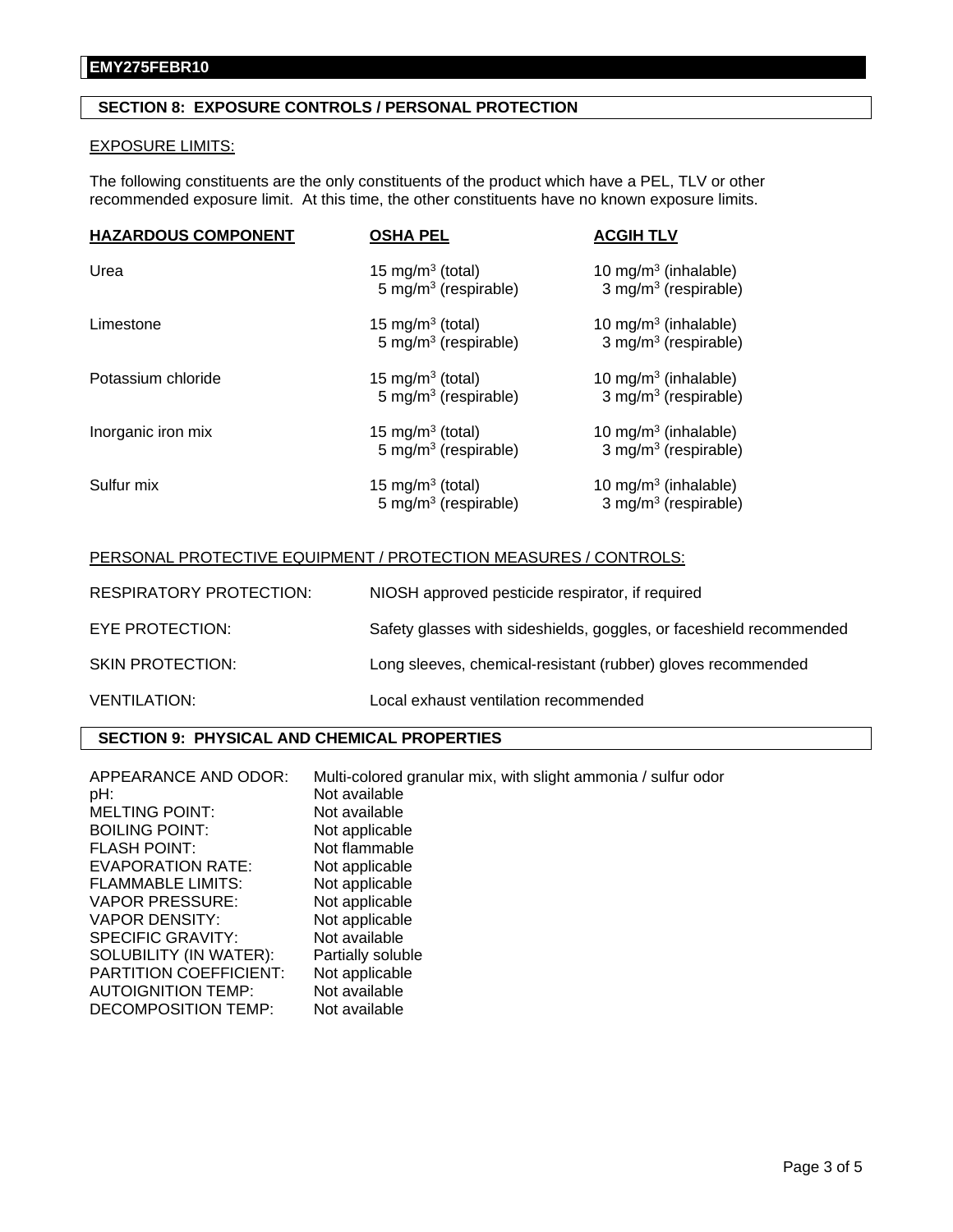# **SECTION 8: EXPOSURE CONTROLS / PERSONAL PROTECTION**

### EXPOSURE LIMITS:

The following constituents are the only constituents of the product which have a PEL, TLV or other recommended exposure limit. At this time, the other constituents have no known exposure limits.

| <b>HAZARDOUS COMPONENT</b> | <b>OSHA PEL</b>                                                  | <b>ACGIH TLV</b>                                                     |
|----------------------------|------------------------------------------------------------------|----------------------------------------------------------------------|
| Urea                       | 15 mg/m <sup>3</sup> (total)<br>5 mg/m <sup>3</sup> (respirable) | 10 mg/m $3$ (inhalable)<br>3 mg/m <sup>3</sup> (respirable)          |
| Limestone                  | 15 mg/m <sup>3</sup> (total)<br>5 mg/m <sup>3</sup> (respirable) | 10 mg/m <sup>3</sup> (inhalable)<br>3 mg/m <sup>3</sup> (respirable) |
| Potassium chloride         | 15 mg/m <sup>3</sup> (total)<br>5 mg/m <sup>3</sup> (respirable) | 10 mg/m $3$ (inhalable)<br>3 mg/m <sup>3</sup> (respirable)          |
| Inorganic iron mix         | 15 mg/m <sup>3</sup> (total)<br>5 mg/m <sup>3</sup> (respirable) | 10 mg/m <sup>3</sup> (inhalable)<br>3 mg/m <sup>3</sup> (respirable) |
| Sulfur mix                 | 15 mg/m <sup>3</sup> (total)<br>5 mg/m <sup>3</sup> (respirable) | 10 mg/m <sup>3</sup> (inhalable)<br>3 mg/m <sup>3</sup> (respirable) |

# PERSONAL PROTECTIVE EQUIPMENT / PROTECTION MEASURES / CONTROLS:

| <b>RESPIRATORY PROTECTION:</b> | NIOSH approved pesticide respirator, if required                    |
|--------------------------------|---------------------------------------------------------------------|
| EYE PROTECTION:                | Safety glasses with sideshields, goggles, or faceshield recommended |
| <b>SKIN PROTECTION:</b>        | Long sleeves, chemical-resistant (rubber) gloves recommended        |
| <b>VENTILATION:</b>            | Local exhaust ventilation recommended                               |

# **SECTION 9: PHYSICAL AND CHEMICAL PROPERTIES**

| Multi-colored granular mix, with slight ammonia / sulfur odor<br>Not available |
|--------------------------------------------------------------------------------|
| Not available                                                                  |
| Not applicable                                                                 |
| Not flammable                                                                  |
| Not applicable                                                                 |
| Not applicable                                                                 |
| Not applicable                                                                 |
| Not applicable                                                                 |
| Not available                                                                  |
| Partially soluble                                                              |
| Not applicable                                                                 |
| Not available                                                                  |
| Not available                                                                  |
|                                                                                |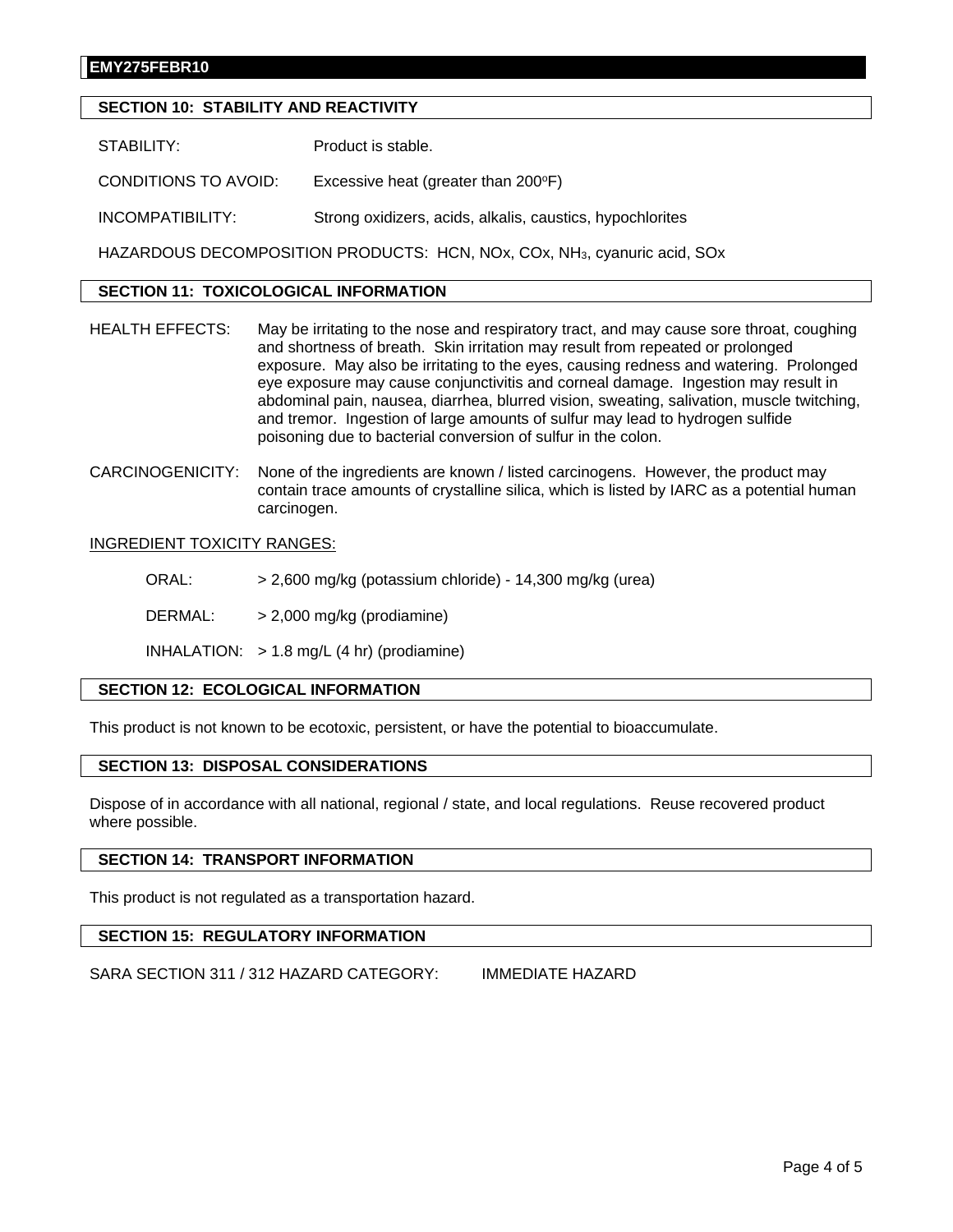## **EMY275FEBR10**

## **SECTION 10: STABILITY AND REACTIVITY**

STABILITY: Product is stable.

CONDITIONS TO AVOID: Excessive heat (greater than 200°F)

INCOMPATIBILITY: Strong oxidizers, acids, alkalis, caustics, hypochlorites

HAZARDOUS DECOMPOSITION PRODUCTS: HCN, NOx, COx, NH3, cyanuric acid, SOx

## **SECTION 11: TOXICOLOGICAL INFORMATION**

- HEALTH EFFECTS: May be irritating to the nose and respiratory tract, and may cause sore throat, coughing and shortness of breath. Skin irritation may result from repeated or prolonged exposure. May also be irritating to the eyes, causing redness and watering. Prolonged eye exposure may cause conjunctivitis and corneal damage. Ingestion may result in abdominal pain, nausea, diarrhea, blurred vision, sweating, salivation, muscle twitching, and tremor. Ingestion of large amounts of sulfur may lead to hydrogen sulfide poisoning due to bacterial conversion of sulfur in the colon.
- CARCINOGENICITY: None of the ingredients are known / listed carcinogens. However, the product may contain trace amounts of crystalline silica, which is listed by IARC as a potential human carcinogen.

#### INGREDIENT TOXICITY RANGES:

ORAL: > 2,600 mg/kg (potassium chloride) - 14,300 mg/kg (urea)

DERMAL: > 2,000 mg/kg (prodiamine)

INHALATION:  $> 1.8$  mg/L (4 hr) (prodiamine)

#### **SECTION 12: ECOLOGICAL INFORMATION**

This product is not known to be ecotoxic, persistent, or have the potential to bioaccumulate.

# **SECTION 13: DISPOSAL CONSIDERATIONS**

Dispose of in accordance with all national, regional / state, and local regulations. Reuse recovered product where possible.

## **SECTION 14: TRANSPORT INFORMATION**

This product is not regulated as a transportation hazard.

#### **SECTION 15: REGULATORY INFORMATION**

SARA SECTION 311 / 312 HAZARD CATEGORY: IMMEDIATE HAZARD